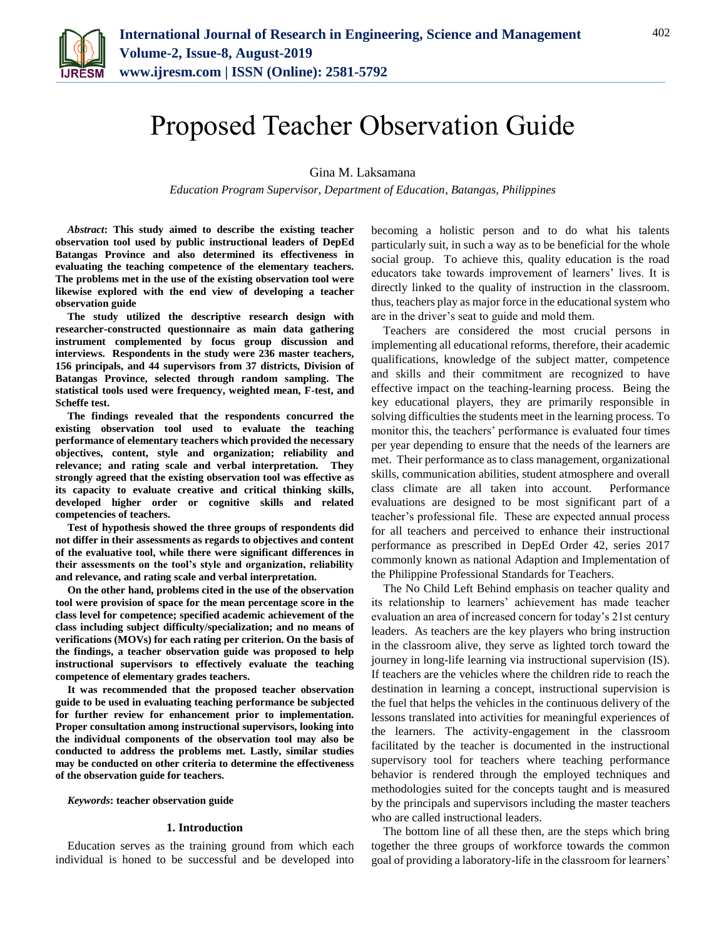

# Proposed Teacher Observation Guide

Gina M. Laksamana

*Education Program Supervisor, Department of Education, Batangas, Philippines*

*Abstract***: This study aimed to describe the existing teacher observation tool used by public instructional leaders of DepEd Batangas Province and also determined its effectiveness in evaluating the teaching competence of the elementary teachers. The problems met in the use of the existing observation tool were likewise explored with the end view of developing a teacher observation guide**

**The study utilized the descriptive research design with researcher-constructed questionnaire as main data gathering instrument complemented by focus group discussion and interviews. Respondents in the study were 236 master teachers, 156 principals, and 44 supervisors from 37 districts, Division of Batangas Province, selected through random sampling. The statistical tools used were frequency, weighted mean, F-test, and Scheffe test.**

**The findings revealed that the respondents concurred the existing observation tool used to evaluate the teaching performance of elementary teachers which provided the necessary objectives, content, style and organization; reliability and relevance; and rating scale and verbal interpretation. They strongly agreed that the existing observation tool was effective as its capacity to evaluate creative and critical thinking skills, developed higher order or cognitive skills and related competencies of teachers.**

**Test of hypothesis showed the three groups of respondents did not differ in their assessments as regards to objectives and content of the evaluative tool, while there were significant differences in their assessments on the tool's style and organization, reliability and relevance, and rating scale and verbal interpretation.** 

**On the other hand, problems cited in the use of the observation tool were provision of space for the mean percentage score in the class level for competence; specified academic achievement of the class including subject difficulty/specialization; and no means of verifications (MOVs) for each rating per criterion. On the basis of the findings, a teacher observation guide was proposed to help instructional supervisors to effectively evaluate the teaching competence of elementary grades teachers.**

**It was recommended that the proposed teacher observation guide to be used in evaluating teaching performance be subjected for further review for enhancement prior to implementation. Proper consultation among instructional supervisors, looking into the individual components of the observation tool may also be conducted to address the problems met. Lastly, similar studies may be conducted on other criteria to determine the effectiveness of the observation guide for teachers.** 

#### *Keywords***: teacher observation guide**

#### **1. Introduction**

Education serves as the training ground from which each individual is honed to be successful and be developed into

becoming a holistic person and to do what his talents particularly suit, in such a way as to be beneficial for the whole social group. To achieve this, quality education is the road educators take towards improvement of learners' lives. It is directly linked to the quality of instruction in the classroom. thus, teachers play as major force in the educational system who are in the driver's seat to guide and mold them.

Teachers are considered the most crucial persons in implementing all educational reforms, therefore, their academic qualifications, knowledge of the subject matter, competence and skills and their commitment are recognized to have effective impact on the teaching-learning process. Being the key educational players, they are primarily responsible in solving difficulties the students meet in the learning process. To monitor this, the teachers' performance is evaluated four times per year depending to ensure that the needs of the learners are met. Their performance as to class management, organizational skills, communication abilities, student atmosphere and overall class climate are all taken into account. Performance evaluations are designed to be most significant part of a teacher's professional file. These are expected annual process for all teachers and perceived to enhance their instructional performance as prescribed in DepEd Order 42, series 2017 commonly known as national Adaption and Implementation of the Philippine Professional Standards for Teachers.

The No Child Left Behind emphasis on teacher quality and its relationship to learners' achievement has made teacher evaluation an area of increased concern for today's 21st century leaders. As teachers are the key players who bring instruction in the classroom alive, they serve as lighted torch toward the journey in long-life learning via instructional supervision (IS). If teachers are the vehicles where the children ride to reach the destination in learning a concept, instructional supervision is the fuel that helps the vehicles in the continuous delivery of the lessons translated into activities for meaningful experiences of the learners. The activity-engagement in the classroom facilitated by the teacher is documented in the instructional supervisory tool for teachers where teaching performance behavior is rendered through the employed techniques and methodologies suited for the concepts taught and is measured by the principals and supervisors including the master teachers who are called instructional leaders.

The bottom line of all these then, are the steps which bring together the three groups of workforce towards the common goal of providing a laboratory-life in the classroom for learners'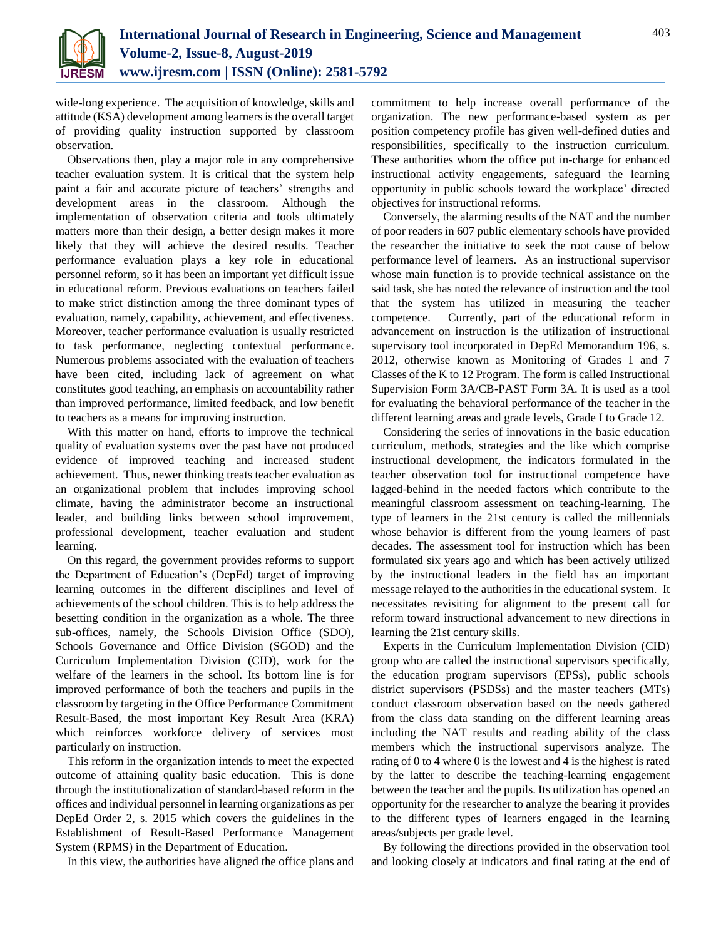

wide-long experience. The acquisition of knowledge, skills and attitude (KSA) development among learners is the overall target of providing quality instruction supported by classroom observation.

Observations then, play a major role in any comprehensive teacher evaluation system. It is critical that the system help paint a fair and accurate picture of teachers' strengths and development areas in the classroom. Although the implementation of observation criteria and tools ultimately matters more than their design, a better design makes it more likely that they will achieve the desired results. Teacher performance evaluation plays a key role in educational personnel reform, so it has been an important yet difficult issue in educational reform. Previous evaluations on teachers failed to make strict distinction among the three dominant types of evaluation, namely, capability, achievement, and effectiveness. Moreover, teacher performance evaluation is usually restricted to task performance, neglecting contextual performance. Numerous problems associated with the evaluation of teachers have been cited, including lack of agreement on what constitutes good teaching, an emphasis on accountability rather than improved performance, limited feedback, and low benefit to teachers as a means for improving instruction.

With this matter on hand, efforts to improve the technical quality of evaluation systems over the past have not produced evidence of improved teaching and increased student achievement. Thus, newer thinking treats teacher evaluation as an organizational problem that includes improving school climate, having the administrator become an instructional leader, and building links between school improvement, professional development, teacher evaluation and student learning.

On this regard, the government provides reforms to support the Department of Education's (DepEd) target of improving learning outcomes in the different disciplines and level of achievements of the school children. This is to help address the besetting condition in the organization as a whole. The three sub-offices, namely, the Schools Division Office (SDO), Schools Governance and Office Division (SGOD) and the Curriculum Implementation Division (CID), work for the welfare of the learners in the school. Its bottom line is for improved performance of both the teachers and pupils in the classroom by targeting in the Office Performance Commitment Result-Based, the most important Key Result Area (KRA) which reinforces workforce delivery of services most particularly on instruction.

This reform in the organization intends to meet the expected outcome of attaining quality basic education. This is done through the institutionalization of standard-based reform in the offices and individual personnel in learning organizations as per DepEd Order 2, s. 2015 which covers the guidelines in the Establishment of Result-Based Performance Management System (RPMS) in the Department of Education.

In this view, the authorities have aligned the office plans and

commitment to help increase overall performance of the organization. The new performance-based system as per position competency profile has given well-defined duties and responsibilities, specifically to the instruction curriculum. These authorities whom the office put in-charge for enhanced instructional activity engagements, safeguard the learning opportunity in public schools toward the workplace' directed objectives for instructional reforms.

Conversely, the alarming results of the NAT and the number of poor readers in 607 public elementary schools have provided the researcher the initiative to seek the root cause of below performance level of learners. As an instructional supervisor whose main function is to provide technical assistance on the said task, she has noted the relevance of instruction and the tool that the system has utilized in measuring the teacher competence. Currently, part of the educational reform in advancement on instruction is the utilization of instructional supervisory tool incorporated in DepEd Memorandum 196, s. 2012, otherwise known as Monitoring of Grades 1 and 7 Classes of the K to 12 Program. The form is called Instructional Supervision Form 3A/CB-PAST Form 3A. It is used as a tool for evaluating the behavioral performance of the teacher in the different learning areas and grade levels, Grade I to Grade 12.

Considering the series of innovations in the basic education curriculum, methods, strategies and the like which comprise instructional development, the indicators formulated in the teacher observation tool for instructional competence have lagged-behind in the needed factors which contribute to the meaningful classroom assessment on teaching-learning. The type of learners in the 21st century is called the millennials whose behavior is different from the young learners of past decades. The assessment tool for instruction which has been formulated six years ago and which has been actively utilized by the instructional leaders in the field has an important message relayed to the authorities in the educational system. It necessitates revisiting for alignment to the present call for reform toward instructional advancement to new directions in learning the 21st century skills.

Experts in the Curriculum Implementation Division (CID) group who are called the instructional supervisors specifically, the education program supervisors (EPSs), public schools district supervisors (PSDSs) and the master teachers (MTs) conduct classroom observation based on the needs gathered from the class data standing on the different learning areas including the NAT results and reading ability of the class members which the instructional supervisors analyze. The rating of 0 to 4 where 0 is the lowest and 4 is the highest is rated by the latter to describe the teaching-learning engagement between the teacher and the pupils. Its utilization has opened an opportunity for the researcher to analyze the bearing it provides to the different types of learners engaged in the learning areas/subjects per grade level.

By following the directions provided in the observation tool and looking closely at indicators and final rating at the end of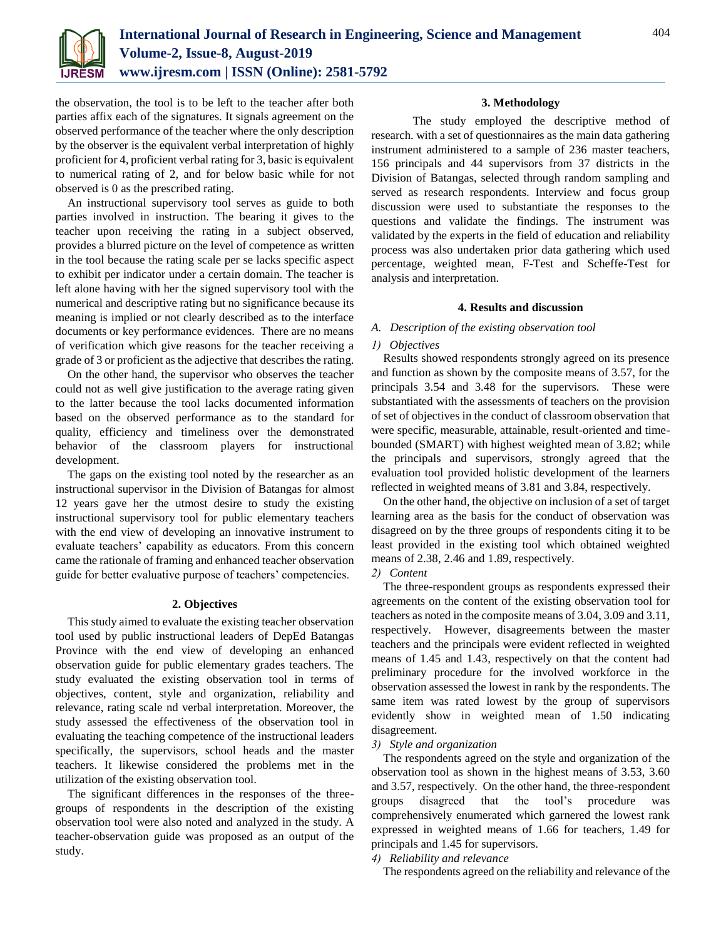

the observation, the tool is to be left to the teacher after both parties affix each of the signatures. It signals agreement on the observed performance of the teacher where the only description by the observer is the equivalent verbal interpretation of highly proficient for 4, proficient verbal rating for 3, basic is equivalent to numerical rating of 2, and for below basic while for not observed is 0 as the prescribed rating.

An instructional supervisory tool serves as guide to both parties involved in instruction. The bearing it gives to the teacher upon receiving the rating in a subject observed, provides a blurred picture on the level of competence as written in the tool because the rating scale per se lacks specific aspect to exhibit per indicator under a certain domain. The teacher is left alone having with her the signed supervisory tool with the numerical and descriptive rating but no significance because its meaning is implied or not clearly described as to the interface documents or key performance evidences. There are no means of verification which give reasons for the teacher receiving a grade of 3 or proficient as the adjective that describes the rating.

On the other hand, the supervisor who observes the teacher could not as well give justification to the average rating given to the latter because the tool lacks documented information based on the observed performance as to the standard for quality, efficiency and timeliness over the demonstrated behavior of the classroom players for instructional development.

The gaps on the existing tool noted by the researcher as an instructional supervisor in the Division of Batangas for almost 12 years gave her the utmost desire to study the existing instructional supervisory tool for public elementary teachers with the end view of developing an innovative instrument to evaluate teachers' capability as educators. From this concern came the rationale of framing and enhanced teacher observation guide for better evaluative purpose of teachers' competencies.

## **2. Objectives**

This study aimed to evaluate the existing teacher observation tool used by public instructional leaders of DepEd Batangas Province with the end view of developing an enhanced observation guide for public elementary grades teachers. The study evaluated the existing observation tool in terms of objectives, content, style and organization, reliability and relevance, rating scale nd verbal interpretation. Moreover, the study assessed the effectiveness of the observation tool in evaluating the teaching competence of the instructional leaders specifically, the supervisors, school heads and the master teachers. It likewise considered the problems met in the utilization of the existing observation tool.

The significant differences in the responses of the threegroups of respondents in the description of the existing observation tool were also noted and analyzed in the study. A teacher-observation guide was proposed as an output of the study.

## **3. Methodology**

 The study employed the descriptive method of research. with a set of questionnaires as the main data gathering instrument administered to a sample of 236 master teachers, 156 principals and 44 supervisors from 37 districts in the Division of Batangas, selected through random sampling and served as research respondents. Interview and focus group discussion were used to substantiate the responses to the questions and validate the findings. The instrument was validated by the experts in the field of education and reliability process was also undertaken prior data gathering which used percentage, weighted mean, F-Test and Scheffe-Test for analysis and interpretation.

## **4. Results and discussion**

## *A. Description of the existing observation tool*

## *1) Objectives*

Results showed respondents strongly agreed on its presence and function as shown by the composite means of 3.57, for the principals 3.54 and 3.48 for the supervisors. These were substantiated with the assessments of teachers on the provision of set of objectives in the conduct of classroom observation that were specific, measurable, attainable, result-oriented and timebounded (SMART) with highest weighted mean of 3.82; while the principals and supervisors, strongly agreed that the evaluation tool provided holistic development of the learners reflected in weighted means of 3.81 and 3.84, respectively.

On the other hand, the objective on inclusion of a set of target learning area as the basis for the conduct of observation was disagreed on by the three groups of respondents citing it to be least provided in the existing tool which obtained weighted means of 2.38, 2.46 and 1.89, respectively.

## *2) Content*

The three-respondent groups as respondents expressed their agreements on the content of the existing observation tool for teachers as noted in the composite means of 3.04, 3.09 and 3.11, respectively. However, disagreements between the master teachers and the principals were evident reflected in weighted means of 1.45 and 1.43, respectively on that the content had preliminary procedure for the involved workforce in the observation assessed the lowest in rank by the respondents. The same item was rated lowest by the group of supervisors evidently show in weighted mean of 1.50 indicating disagreement.

## *3) Style and organization*

The respondents agreed on the style and organization of the observation tool as shown in the highest means of 3.53, 3.60 and 3.57, respectively. On the other hand, the three-respondent groups disagreed that the tool's procedure was comprehensively enumerated which garnered the lowest rank expressed in weighted means of 1.66 for teachers, 1.49 for principals and 1.45 for supervisors.

## *4) Reliability and relevance*

The respondents agreed on the reliability and relevance of the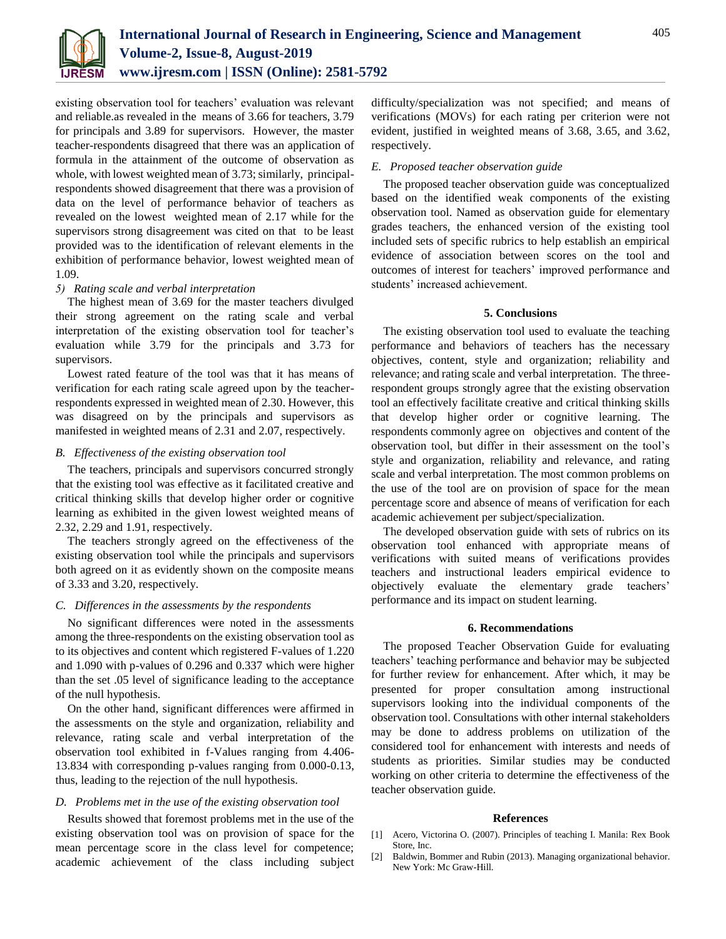

existing observation tool for teachers' evaluation was relevant and reliable.as revealed in the means of 3.66 for teachers, 3.79 for principals and 3.89 for supervisors. However, the master teacher-respondents disagreed that there was an application of formula in the attainment of the outcome of observation as whole, with lowest weighted mean of 3.73; similarly, principalrespondents showed disagreement that there was a provision of data on the level of performance behavior of teachers as revealed on the lowest weighted mean of 2.17 while for the supervisors strong disagreement was cited on that to be least provided was to the identification of relevant elements in the exhibition of performance behavior, lowest weighted mean of 1.09.

## *5) Rating scale and verbal interpretation*

The highest mean of 3.69 for the master teachers divulged their strong agreement on the rating scale and verbal interpretation of the existing observation tool for teacher's evaluation while 3.79 for the principals and 3.73 for supervisors.

Lowest rated feature of the tool was that it has means of verification for each rating scale agreed upon by the teacherrespondents expressed in weighted mean of 2.30. However, this was disagreed on by the principals and supervisors as manifested in weighted means of 2.31 and 2.07, respectively.

## *B. Effectiveness of the existing observation tool*

The teachers, principals and supervisors concurred strongly that the existing tool was effective as it facilitated creative and critical thinking skills that develop higher order or cognitive learning as exhibited in the given lowest weighted means of 2.32, 2.29 and 1.91, respectively.

The teachers strongly agreed on the effectiveness of the existing observation tool while the principals and supervisors both agreed on it as evidently shown on the composite means of 3.33 and 3.20, respectively.

## *C. Differences in the assessments by the respondents*

No significant differences were noted in the assessments among the three-respondents on the existing observation tool as to its objectives and content which registered F-values of 1.220 and 1.090 with p-values of 0.296 and 0.337 which were higher than the set .05 level of significance leading to the acceptance of the null hypothesis.

On the other hand, significant differences were affirmed in the assessments on the style and organization, reliability and relevance, rating scale and verbal interpretation of the observation tool exhibited in f-Values ranging from 4.406- 13.834 with corresponding p-values ranging from 0.000-0.13, thus, leading to the rejection of the null hypothesis.

## *D. Problems met in the use of the existing observation tool*

Results showed that foremost problems met in the use of the existing observation tool was on provision of space for the mean percentage score in the class level for competence; academic achievement of the class including subject difficulty/specialization was not specified; and means of verifications (MOVs) for each rating per criterion were not evident, justified in weighted means of 3.68, 3.65, and 3.62, respectively.

## *E. Proposed teacher observation guide*

The proposed teacher observation guide was conceptualized based on the identified weak components of the existing observation tool. Named as observation guide for elementary grades teachers, the enhanced version of the existing tool included sets of specific rubrics to help establish an empirical evidence of association between scores on the tool and outcomes of interest for teachers' improved performance and students' increased achievement.

## **5. Conclusions**

The existing observation tool used to evaluate the teaching performance and behaviors of teachers has the necessary objectives, content, style and organization; reliability and relevance; and rating scale and verbal interpretation. The threerespondent groups strongly agree that the existing observation tool an effectively facilitate creative and critical thinking skills that develop higher order or cognitive learning. The respondents commonly agree on objectives and content of the observation tool, but differ in their assessment on the tool's style and organization, reliability and relevance, and rating scale and verbal interpretation. The most common problems on the use of the tool are on provision of space for the mean percentage score and absence of means of verification for each academic achievement per subject/specialization.

The developed observation guide with sets of rubrics on its observation tool enhanced with appropriate means of verifications with suited means of verifications provides teachers and instructional leaders empirical evidence to objectively evaluate the elementary grade teachers' performance and its impact on student learning.

## **6. Recommendations**

The proposed Teacher Observation Guide for evaluating teachers' teaching performance and behavior may be subjected for further review for enhancement. After which, it may be presented for proper consultation among instructional supervisors looking into the individual components of the observation tool. Consultations with other internal stakeholders may be done to address problems on utilization of the considered tool for enhancement with interests and needs of students as priorities. Similar studies may be conducted working on other criteria to determine the effectiveness of the teacher observation guide.

#### **References**

- [1] Acero, Victorina O. (2007). Principles of teaching I. Manila: Rex Book Store, Inc.
- [2] Baldwin, Bommer and Rubin (2013). Managing organizational behavior. New York: Mc Graw-Hill.